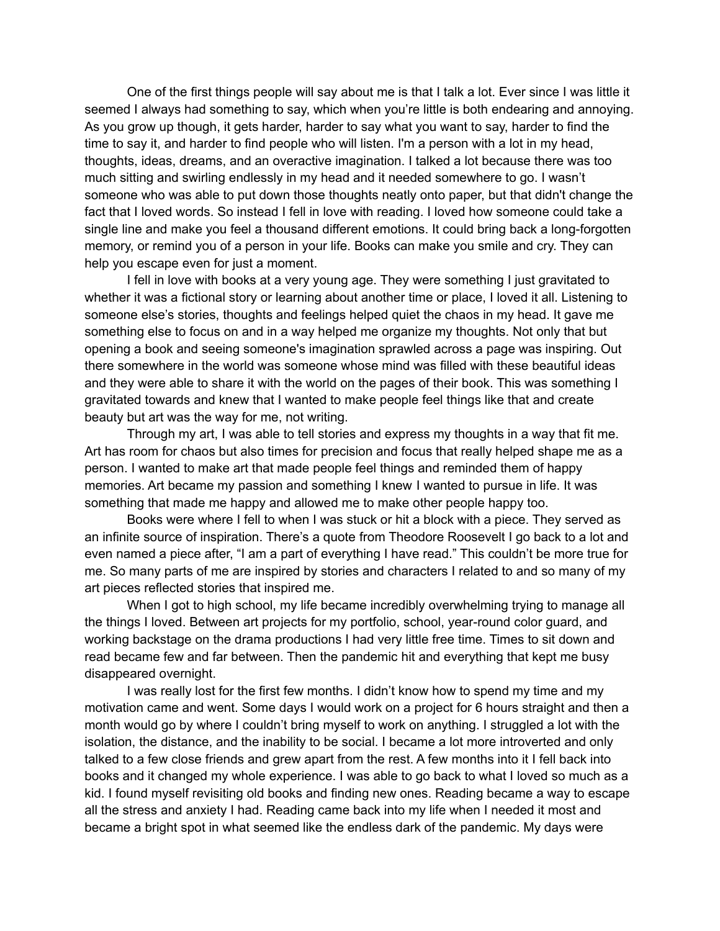One of the first things people will say about me is that I talk a lot. Ever since I was little it seemed I always had something to say, which when you're little is both endearing and annoying. As you grow up though, it gets harder, harder to say what you want to say, harder to find the time to say it, and harder to find people who will listen. I'm a person with a lot in my head, thoughts, ideas, dreams, and an overactive imagination. I talked a lot because there was too much sitting and swirling endlessly in my head and it needed somewhere to go. I wasn't someone who was able to put down those thoughts neatly onto paper, but that didn't change the fact that I loved words. So instead I fell in love with reading. I loved how someone could take a single line and make you feel a thousand different emotions. It could bring back a long-forgotten memory, or remind you of a person in your life. Books can make you smile and cry. They can help you escape even for just a moment.

I fell in love with books at a very young age. They were something I just gravitated to whether it was a fictional story or learning about another time or place, I loved it all. Listening to someone else's stories, thoughts and feelings helped quiet the chaos in my head. It gave me something else to focus on and in a way helped me organize my thoughts. Not only that but opening a book and seeing someone's imagination sprawled across a page was inspiring. Out there somewhere in the world was someone whose mind was filled with these beautiful ideas and they were able to share it with the world on the pages of their book. This was something I gravitated towards and knew that I wanted to make people feel things like that and create beauty but art was the way for me, not writing.

Through my art, I was able to tell stories and express my thoughts in a way that fit me. Art has room for chaos but also times for precision and focus that really helped shape me as a person. I wanted to make art that made people feel things and reminded them of happy memories. Art became my passion and something I knew I wanted to pursue in life. It was something that made me happy and allowed me to make other people happy too.

Books were where I fell to when I was stuck or hit a block with a piece. They served as an infinite source of inspiration. There's a quote from Theodore Roosevelt I go back to a lot and even named a piece after, "I am a part of everything I have read." This couldn't be more true for me. So many parts of me are inspired by stories and characters I related to and so many of my art pieces reflected stories that inspired me.

When I got to high school, my life became incredibly overwhelming trying to manage all the things I loved. Between art projects for my portfolio, school, year-round color guard, and working backstage on the drama productions I had very little free time. Times to sit down and read became few and far between. Then the pandemic hit and everything that kept me busy disappeared overnight.

I was really lost for the first few months. I didn't know how to spend my time and my motivation came and went. Some days I would work on a project for 6 hours straight and then a month would go by where I couldn't bring myself to work on anything. I struggled a lot with the isolation, the distance, and the inability to be social. I became a lot more introverted and only talked to a few close friends and grew apart from the rest. A few months into it I fell back into books and it changed my whole experience. I was able to go back to what I loved so much as a kid. I found myself revisiting old books and finding new ones. Reading became a way to escape all the stress and anxiety I had. Reading came back into my life when I needed it most and became a bright spot in what seemed like the endless dark of the pandemic. My days were